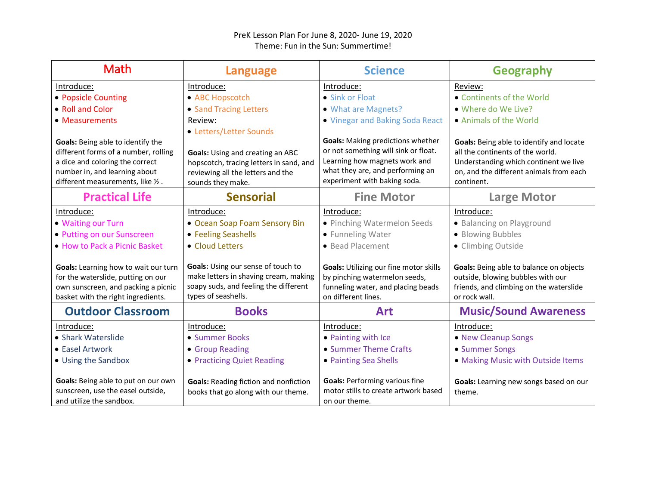## PreK Lesson Plan For June 8, 2020- June 19, 2020 Theme: Fun in the Sun: Summertime!

| Math                                                                                                                                                    | Language                                                                                                                                    | <b>Science</b>                                                                                                                       | <b>Geography</b>                                                                                                                         |
|---------------------------------------------------------------------------------------------------------------------------------------------------------|---------------------------------------------------------------------------------------------------------------------------------------------|--------------------------------------------------------------------------------------------------------------------------------------|------------------------------------------------------------------------------------------------------------------------------------------|
| Introduce:                                                                                                                                              | Introduce:                                                                                                                                  | Introduce:                                                                                                                           | Review:                                                                                                                                  |
| • Popsicle Counting                                                                                                                                     | • ABC Hopscotch                                                                                                                             | • Sink or Float                                                                                                                      | • Continents of the World                                                                                                                |
| • Roll and Color                                                                                                                                        | • Sand Tracing Letters                                                                                                                      | • What are Magnets?                                                                                                                  | . Where do We Live?                                                                                                                      |
| • Measurements                                                                                                                                          | Review:                                                                                                                                     | . Vinegar and Baking Soda React                                                                                                      | • Animals of the World                                                                                                                   |
|                                                                                                                                                         | • Letters/Letter Sounds                                                                                                                     |                                                                                                                                      |                                                                                                                                          |
| Goals: Being able to identify the                                                                                                                       |                                                                                                                                             | <b>Goals:</b> Making predictions whether                                                                                             | Goals: Being able to identify and locate                                                                                                 |
| different forms of a number, rolling                                                                                                                    | Goals: Using and creating an ABC                                                                                                            | or not something will sink or float.                                                                                                 | all the continents of the world.                                                                                                         |
| a dice and coloring the correct                                                                                                                         | hopscotch, tracing letters in sand, and                                                                                                     | Learning how magnets work and                                                                                                        | Understanding which continent we live                                                                                                    |
| number in, and learning about                                                                                                                           | reviewing all the letters and the                                                                                                           | what they are, and performing an                                                                                                     | on, and the different animals from each                                                                                                  |
| different measurements, like 1/2.                                                                                                                       | sounds they make.                                                                                                                           | experiment with baking soda.                                                                                                         | continent.                                                                                                                               |
| <b>Practical Life</b>                                                                                                                                   | <b>Sensorial</b>                                                                                                                            | <b>Fine Motor</b>                                                                                                                    | <b>Large Motor</b>                                                                                                                       |
| Introduce:                                                                                                                                              | Introduce:                                                                                                                                  | Introduce:                                                                                                                           | Introduce:                                                                                                                               |
| • Waiting our Turn                                                                                                                                      | • Ocean Soap Foam Sensory Bin                                                                                                               | • Pinching Watermelon Seeds                                                                                                          | • Balancing on Playground                                                                                                                |
| • Putting on our Sunscreen                                                                                                                              | • Feeling Seashells                                                                                                                         | • Funneling Water                                                                                                                    | · Blowing Bubbles                                                                                                                        |
| . How to Pack a Picnic Basket                                                                                                                           | • Cloud Letters                                                                                                                             | • Bead Placement                                                                                                                     | • Climbing Outside                                                                                                                       |
| Goals: Learning how to wait our turn<br>for the waterslide, putting on our<br>own sunscreen, and packing a picnic<br>basket with the right ingredients. | Goals: Using our sense of touch to<br>make letters in shaving cream, making<br>soapy suds, and feeling the different<br>types of seashells. | Goals: Utilizing our fine motor skills<br>by pinching watermelon seeds,<br>funneling water, and placing beads<br>on different lines. | Goals: Being able to balance on objects<br>outside, blowing bubbles with our<br>friends, and climbing on the waterslide<br>or rock wall. |
| <b>Outdoor Classroom</b>                                                                                                                                | <b>Books</b>                                                                                                                                | <b>Art</b>                                                                                                                           | <b>Music/Sound Awareness</b>                                                                                                             |
| Introduce:                                                                                                                                              | Introduce:                                                                                                                                  | Introduce:                                                                                                                           | Introduce:                                                                                                                               |
| • Shark Waterslide                                                                                                                                      | • Summer Books                                                                                                                              | • Painting with Ice                                                                                                                  | • New Cleanup Songs                                                                                                                      |
| • Easel Artwork                                                                                                                                         | • Group Reading                                                                                                                             | • Summer Theme Crafts                                                                                                                | • Summer Songs                                                                                                                           |
| • Using the Sandbox                                                                                                                                     | • Practicing Quiet Reading                                                                                                                  | • Painting Sea Shells                                                                                                                | . Making Music with Outside Items                                                                                                        |
| Goals: Being able to put on our own<br>sunscreen, use the easel outside,<br>and utilize the sandbox.                                                    | <b>Goals: Reading fiction and nonfiction</b><br>books that go along with our theme.                                                         | <b>Goals: Performing various fine</b><br>motor stills to create artwork based<br>on our theme.                                       | Goals: Learning new songs based on our<br>theme.                                                                                         |